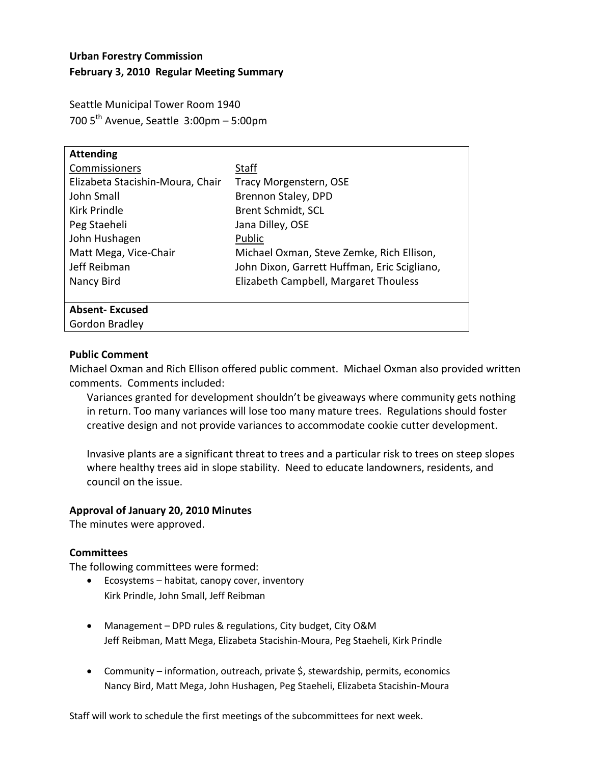# **Urban Forestry Commission February 3, 2010 Regular Meeting Summary**

Seattle Municipal Tower Room 1940 700  $5^{th}$  Avenue, Seattle 3:00pm – 5:00pm

| <b>Attending</b>                 |                                              |
|----------------------------------|----------------------------------------------|
| Commissioners                    | <b>Staff</b>                                 |
| Elizabeta Stacishin-Moura, Chair | Tracy Morgenstern, OSE                       |
| John Small                       | Brennon Staley, DPD                          |
| Kirk Prindle                     | <b>Brent Schmidt, SCL</b>                    |
| Peg Staeheli                     | Jana Dilley, OSE                             |
| John Hushagen                    | Public                                       |
| Matt Mega, Vice-Chair            | Michael Oxman, Steve Zemke, Rich Ellison,    |
| Jeff Reibman                     | John Dixon, Garrett Huffman, Eric Scigliano, |
| Nancy Bird                       | Elizabeth Campbell, Margaret Thouless        |
|                                  |                                              |
| <b>Absent-Excused</b>            |                                              |
| Gordon Bradley                   |                                              |

### **Public Comment**

Michael Oxman and Rich Ellison offered public comment. Michael Oxman also provided written comments. Comments included:

Variances granted for development shouldn't be giveaways where community gets nothing in return. Too many variances will lose too many mature trees. Regulations should foster creative design and not provide variances to accommodate cookie cutter development.

Invasive plants are a significant threat to trees and a particular risk to trees on steep slopes where healthy trees aid in slope stability. Need to educate landowners, residents, and council on the issue.

## **Approval of January 20, 2010 Minutes**

The minutes were approved.

## **Committees**

The following committees were formed:

- Ecosystems habitat, canopy cover, inventory Kirk Prindle, John Small, Jeff Reibman
- Management DPD rules & regulations, City budget, City O&M Jeff Reibman, Matt Mega, Elizabeta Stacishin-Moura, Peg Staeheli, Kirk Prindle
- Community information, outreach, private \$, stewardship, permits, economics Nancy Bird, Matt Mega, John Hushagen, Peg Staeheli, Elizabeta Stacishin-Moura

Staff will work to schedule the first meetings of the subcommittees for next week.